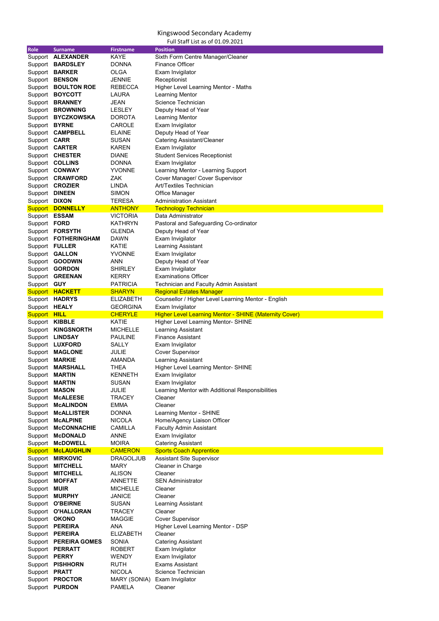| <b>Role</b>           | <b>Surname</b>           | <b>Firstname</b> | <b>Position</b>                                               |
|-----------------------|--------------------------|------------------|---------------------------------------------------------------|
|                       | Support <b>ALEXANDER</b> | <b>KAYE</b>      | Sixth Form Centre Manager/Cleaner                             |
|                       | Support BARDSLEY         | <b>DONNA</b>     | <b>Finance Officer</b>                                        |
|                       | Support <b>BARKER</b>    | <b>OLGA</b>      | Exam Invigilator                                              |
| Support               | <b>BENSON</b>            | <b>JENNIE</b>    | Receptionist                                                  |
| Support               | <b>BOULTON ROE</b>       | <b>REBECCA</b>   | Higher Level Learning Mentor - Maths                          |
| Support               | <b>BOYCOTT</b>           | <b>LAURA</b>     | <b>Learning Mentor</b>                                        |
| Support               | <b>BRANNEY</b>           | <b>JEAN</b>      | <b>Science Technician</b>                                     |
| Support               | <b>BROWNING</b>          | <b>LESLEY</b>    | Deputy Head of Year                                           |
|                       | Support BYCZKOWSKA       | <b>DOROTA</b>    | <b>Learning Mentor</b>                                        |
| Support BYRNE         |                          | <b>CAROLE</b>    | Exam Invigilator                                              |
| Support               | <b>CAMPBELL</b>          | <b>ELAINE</b>    | Deputy Head of Year                                           |
| Support CARR          |                          | <b>SUSAN</b>     | Catering Assistant/Cleaner                                    |
|                       | Support <b>CARTER</b>    | <b>KAREN</b>     | Exam Invigilator                                              |
|                       | Support CHESTER          | <b>DIANE</b>     | <b>Student Services Receptionist</b>                          |
|                       | Support <b>COLLINS</b>   | <b>DONNA</b>     | Exam Invigilator                                              |
|                       | Support CONWAY           | <b>YVONNE</b>    | Learning Mentor - Learning Support                            |
|                       | Support <b>CRAWFORD</b>  | <b>ZAK</b>       | Cover Manager/ Cover Supervisor                               |
|                       | Support <b>CROZIER</b>   | <b>LINDA</b>     | Art/Textiles Technician                                       |
| Support DINEEN        |                          | <b>SIMON</b>     | <b>Office Manager</b>                                         |
| Support DIXON         |                          | <b>TERESA</b>    | <b>Administration Assistant</b>                               |
|                       | <b>Support DONNELLY</b>  | <b>ANTHONY</b>   | <b>Technology Technician</b>                                  |
| Support ESSAM         |                          | <b>VICTORIA</b>  | Data Administrator                                            |
| Support FORD          |                          | <b>KATHRYN</b>   | Pastoral and Safeguarding Co-ordinator                        |
|                       | Support FORSYTH          | <b>GLENDA</b>    | Deputy Head of Year                                           |
|                       | Support FOTHERINGHAM     | <b>DAWN</b>      | Exam Invigilator                                              |
|                       | Support FULLER           | <b>KATIE</b>     | Learning Assistant                                            |
|                       | Support <b>GALLON</b>    | <b>YVONNE</b>    | Exam Invigilator                                              |
|                       | Support <b>GOODWIN</b>   | <b>ANN</b>       | Deputy Head of Year                                           |
| Support               | <b>GORDON</b>            | <b>SHIRLEY</b>   | Exam Invigilator                                              |
|                       | Support <b>GREENAN</b>   | <b>KERRY</b>     | <b>Examinations Officer</b>                                   |
| Support GUY           |                          | <b>PATRICIA</b>  | Technician and Faculty Admin Assistant                        |
|                       | <b>Support HACKETT</b>   | <b>SHARYN</b>    | <b>Regional Estates Manager</b>                               |
|                       | Support HADRYS           | <b>ELIZABETH</b> | Counsellor / Higher Level Learning Mentor - English           |
| Support HEALY         |                          | <b>GEORGINA</b>  | Exam Invigilator                                              |
| <b>Support HILL</b>   |                          | <b>CHERYLE</b>   | <b>Higher Level Learning Mentor - SHINE (Maternity Cover)</b> |
| Support <b>KIBBLE</b> |                          | <b>KATIE</b>     | <b>Higher Level Learning Mentor- SHINE</b>                    |
| Support               | <b>KINGSNORTH</b>        | <b>MICHELLE</b>  | <b>Learning Assistant</b>                                     |
|                       | Support <b>LINDSAY</b>   | <b>PAULINE</b>   | <b>Finance Assistant</b>                                      |
|                       | Support LUXFORD          | <b>SALLY</b>     | Exam Invigilator                                              |
|                       | Support MAGLONE          | <b>JULIE</b>     | <b>Cover Supervisor</b>                                       |
| Support               | <b>MARKIE</b>            | <b>AMANDA</b>    | Learning Assistant                                            |
| Support               | <b>MARSHALL</b>          | <b>THEA</b>      | <b>Higher Level Learning Mentor- SHINE</b>                    |
| Support               | <b>MARTIN</b>            | <b>KENNETH</b>   | Exam Invigilator                                              |
| Support               | <b>MARTIN</b>            | <b>SUSAN</b>     | Exam Invigilator                                              |
| Support MASON         |                          | <b>JULIE</b>     | Learning Mentor with Additional Responsibilities              |
| Support               | <b>McALEESE</b>          | <b>TRACEY</b>    | Cleaner                                                       |
| Support               | <b>McALINDON</b>         | <b>EMMA</b>      | Cleaner                                                       |
| Support               | <b>McALLISTER</b>        | <b>DONNA</b>     | Learning Mentor - SHINE                                       |
| Support               | <b>McALPINE</b>          | <b>NICOLA</b>    | Home/Agency Liaison Officer                                   |
| Support               | <b>MCCONNACHIE</b>       | <b>CAMILLA</b>   | <b>Faculty Admin Assistant</b>                                |
| Support               | <b>McDONALD</b>          | <b>ANNE</b>      | Exam Invigilator                                              |
|                       | Support McDOWELL         | <b>MOIRA</b>     | <b>Catering Assistant</b>                                     |
| <b>Support</b>        | <b>McLAUGHLIN</b>        | <b>CAMERON</b>   | <b>Sports Coach Apprentice</b>                                |
| Support               | <b>MIRKOVIC</b>          | <b>DRAGOLJUB</b> | <b>Assistant Site Supervisor</b>                              |
| Support               | <b>MITCHELL</b>          | <b>MARY</b>      | Cleaner in Charge                                             |

| Support | <b>MITCHELL</b>      |
|---------|----------------------|
| Support | <b>MOFFAT</b>        |
| Support | <b>MUIR</b>          |
| Support | <b>MURPHY</b>        |
| Support | <b>O'BEIRNE</b>      |
| Support | <b>O'HALLORAN</b>    |
| Support | OKONO                |
| Support | <b>PEREIRA</b>       |
| Support | PEREIRA              |
| Support | <b>PEREIRA GOMES</b> |
| Support | PERRATT              |
| Support | <b>PERRY</b>         |
| Support | PISHHORN             |
| Support | <b>PRATT</b>         |
| Support | <b>PROCTOR</b>       |
| Support | <b>PURDON</b>        |
|         |                      |

TRACEY

ALISON Cleaner ANNETTE SEN Administrator MICHELLE Cleaner JANICE Cleaner SUSAN Learning Assistant<br>TRACEY Cleaner MAGGIE Cover Supervisor ANA Higher Level Learning Mentor - DSP ELIZABETH Cleaner SONIA Catering Assistant ROBERT Exam Invigilator WENDY Exam Invigilator RUTH Exams Assistant NICOLA Science Technician MARY (SONIA) Exam Invigilator PAMELA Cleaner

## Kingswood Secondary Academy

Full Staff List as of 01.09.2021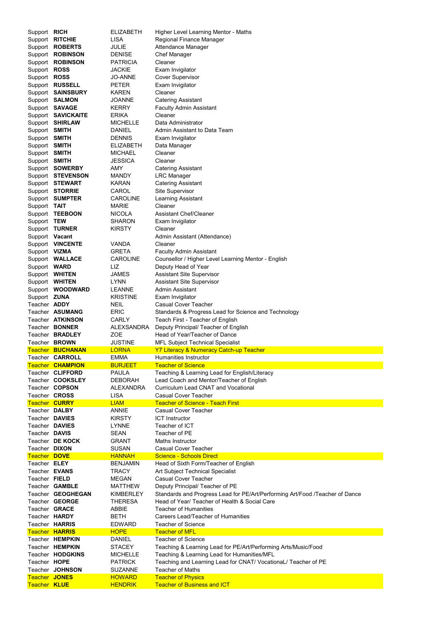| Support RICH                         |                         | <b>ELIZABETH</b>                | Higher Level Learning Mentor - Maths                                                          |
|--------------------------------------|-------------------------|---------------------------------|-----------------------------------------------------------------------------------------------|
| Support                              | <b>RITCHIE</b>          | <b>LISA</b>                     | <b>Regional Finance Manager</b>                                                               |
| Support                              | <b>ROBERTS</b>          | <b>JULIE</b>                    | Attendance Manager                                                                            |
|                                      | Support <b>ROBINSON</b> | <b>DENISE</b>                   | <b>Chef Manager</b>                                                                           |
| Support                              | <b>ROBINSON</b>         | <b>PATRICIA</b>                 | Cleaner                                                                                       |
| Support                              | <b>ROSS</b>             | <b>JACKIE</b>                   | Exam Invigilator                                                                              |
| Support                              | <b>ROSS</b>             | <b>JO-ANNE</b>                  | <b>Cover Supervisor</b>                                                                       |
| Support                              | <b>RUSSELL</b>          | <b>PETER</b>                    | Exam Invigilator                                                                              |
|                                      | Support SAINSBURY       | <b>KAREN</b>                    | Cleaner                                                                                       |
|                                      | Support <b>SALMON</b>   | <b>JOANNE</b>                   | <b>Catering Assistant</b>                                                                     |
|                                      | Support SAVAGE          | <b>KERRY</b>                    | <b>Faculty Admin Assistant</b>                                                                |
|                                      | Support SAVICKAITE      | <b>ERIKA</b>                    | Cleaner                                                                                       |
| Support                              | <b>SHIRLAW</b>          | <b>MICHELLE</b>                 | Data Administrator                                                                            |
|                                      |                         |                                 |                                                                                               |
| Support SMITH                        |                         | <b>DANIEL</b>                   | Admin Assistant to Data Team                                                                  |
| Support SMITH                        |                         | <b>DENNIS</b>                   | Exam Invigilator                                                                              |
| Support SMITH                        |                         | <b>ELIZABETH</b>                | Data Manager                                                                                  |
| Support SMITH                        |                         | <b>MICHAEL</b>                  | Cleaner                                                                                       |
| Support                              | <b>SMITH</b>            | <b>JESSICA</b>                  | Cleaner                                                                                       |
|                                      | Support SOWERBY         | <b>AMY</b>                      | <b>Catering Assistant</b>                                                                     |
|                                      | Support STEVENSON       | <b>MANDY</b>                    | <b>LRC Manager</b>                                                                            |
|                                      | Support STEWART         | <b>KARAN</b>                    | <b>Catering Assistant</b>                                                                     |
|                                      | Support STORRIE         | <b>CAROL</b>                    | <b>Site Supervisor</b>                                                                        |
|                                      | Support SUMPTER         | <b>CAROLINE</b>                 | <b>Learning Assistant</b>                                                                     |
| Support TAIT                         |                         | <b>MARIE</b>                    | Cleaner                                                                                       |
| Support                              | <b>TEEBOON</b>          | <b>NICOLA</b>                   | <b>Assistant Chef/Cleaner</b>                                                                 |
| Support TEW                          |                         | <b>SHARON</b>                   | Exam Invigilator                                                                              |
|                                      | Support TURNER          | <b>KIRSTY</b>                   | Cleaner                                                                                       |
| Support Vacant                       |                         |                                 | Admin Assistant (Attendance)                                                                  |
|                                      | Support <b>VINCENTE</b> | <b>VANDA</b>                    | Cleaner                                                                                       |
| Support VIZMA                        |                         | <b>GRETA</b>                    | <b>Faculty Admin Assistant</b>                                                                |
|                                      | Support WALLACE         | <b>CAROLINE</b>                 | Counsellor / Higher Level Learning Mentor - English                                           |
| Support WARD                         |                         | LIZ                             | Deputy Head of Year                                                                           |
|                                      | Support WHITEN          | <b>JAMES</b>                    | <b>Assistant Site Supervisor</b>                                                              |
|                                      | Support WHITEN          | <b>LYNN</b>                     | <b>Assistant Site Supervisor</b>                                                              |
|                                      | Support WOODWARD        | <b>LEANNE</b>                   | <b>Admin Assistant</b>                                                                        |
| Support <b>ZUNA</b>                  |                         | <b>KRISTINE</b>                 | Exam Invigilator                                                                              |
| Teacher <b>ADDY</b>                  |                         | <b>NEIL</b>                     | <b>Casual Cover Teacher</b>                                                                   |
|                                      |                         |                                 |                                                                                               |
|                                      | Teacher ASUMANG         | <b>ERIC</b>                     | Standards & Progress Lead for Science and Technology                                          |
|                                      | Teacher <b>ATKINSON</b> | <b>CARLY</b>                    | Teach First - Teacher of English                                                              |
|                                      | Teacher <b>BONNER</b>   | ALEXSANDRA                      | Deputy Principal/ Teacher of English                                                          |
|                                      | Teacher <b>BRADLEY</b>  | <b>ZOE</b>                      | Head of Year/Teacher of Dance                                                                 |
|                                      | Teacher <b>BROWN</b>    | <b>JUSTINE</b>                  |                                                                                               |
|                                      | <b>Teacher BUCHANAN</b> | <b>LORNA</b>                    | <b>MFL Subject Technical Specialist</b><br><b>Y7 Literacy &amp; Numeracy Catch-up Teacher</b> |
|                                      | Teacher <b>CARROLL</b>  | <b>EMMA</b>                     | <b>Humanities Instructor</b>                                                                  |
|                                      | <b>Teacher CHAMPION</b> | <b>BURJEET</b>                  | <b>Teacher of Science</b>                                                                     |
|                                      | Teacher CLIFFORD        | <b>PAULA</b>                    |                                                                                               |
|                                      | Teacher <b>COOKSLEY</b> | <b>DEBORAH</b>                  | Teaching & Learning Lead for English/Literacy                                                 |
|                                      | Teacher <b>COPSON</b>   | <b>ALEXANDRA</b>                | Lead Coach and Mentor/Teacher of English<br><b>Curriculum Lead CNAT and Vocational</b>        |
| Teacher <b>CROSS</b>                 |                         | <b>LISA</b>                     | <b>Casual Cover Teacher</b>                                                                   |
| <b>Teacher CURRY</b>                 |                         |                                 | <b>Teacher of Science - Teach First</b>                                                       |
| Teacher DALBY                        |                         | <b>LIAM</b><br><b>ANNIE</b>     | <b>Casual Cover Teacher</b>                                                                   |
| Teacher DAVIES                       |                         | <b>KIRSTY</b>                   | <b>ICT Instructor</b>                                                                         |
| Teacher DAVIES                       |                         | <b>LYNNE</b>                    | Teacher of ICT                                                                                |
| Teacher DAVIS                        |                         | <b>SEAN</b>                     | Teacher of PE                                                                                 |
|                                      | Teacher DE KOCK         |                                 |                                                                                               |
|                                      |                         | <b>GRANT</b>                    | Maths Instructor<br><b>Casual Cover Teacher</b>                                               |
| Teacher DIXON                        |                         | <b>SUSAN</b>                    |                                                                                               |
| Teacher DOVE                         |                         | <b>HANNAH</b>                   | <b>Science - Schools Direct</b>                                                               |
| Teacher <b>ELEY</b>                  |                         | <b>BENJAMIN</b>                 | Head of Sixth Form/Teacher of English                                                         |
| Teacher <b>EVANS</b>                 |                         | <b>TRACY</b>                    | <b>Art Subject Technical Specialist</b><br><b>Casual Cover Teacher</b>                        |
| Teacher FIELD                        |                         | <b>MEGAN</b>                    |                                                                                               |
|                                      | Teacher GAMBLE          | <b>MATTHEW</b>                  | Deputy Principal/ Teacher of PE                                                               |
|                                      | Teacher GEOGHEGAN       | KIMBERLEY                       | Standards and Progress Lead for PE/Art/Performing Art/Food /Teacher of Dance                  |
|                                      | Teacher GEORGE          | <b>THERESA</b>                  | Head of Year/ Teacher of Health & Social Care                                                 |
| Teacher <b>GRACE</b>                 |                         | <b>ABBIE</b>                    | <b>Teacher of Humanities</b>                                                                  |
| Teacher HARDY                        |                         | <b>BETH</b>                     | <b>Careers Lead/Teacher of Humanities</b>                                                     |
|                                      | Teacher HARRIS          | <b>EDWARD</b>                   | <b>Teacher of Science</b>                                                                     |
|                                      | <b>Teacher HARRIS</b>   | <b>HOPE</b>                     | <b>Teacher of MFL</b>                                                                         |
|                                      | Teacher HEMPKIN         | <b>DANIEL</b>                   | <b>Teacher of Science</b>                                                                     |
|                                      | Teacher HEMPKIN         | <b>STACEY</b>                   | Teaching & Learning Lead for PE/Art/Performing Arts/Music/Food                                |
|                                      | Teacher HODGKINS        | <b>MICHELLE</b>                 | Teaching & Learning Lead for Humanities/MFL                                                   |
| Teacher HOPE                         |                         | <b>PATRICK</b>                  | Teaching and Learning Lead for CNAT/ VocationaL/ Teacher of PE                                |
|                                      | Teacher JOHNSON         | <b>SUZANNE</b>                  | <b>Teacher of Maths</b>                                                                       |
| <b>Teacher JONES</b><br>Teacher KLUE |                         | <b>HOWARD</b><br><b>HENDRIK</b> | <b>Teacher of Physics</b><br><b>Teacher of Business and ICT</b>                               |